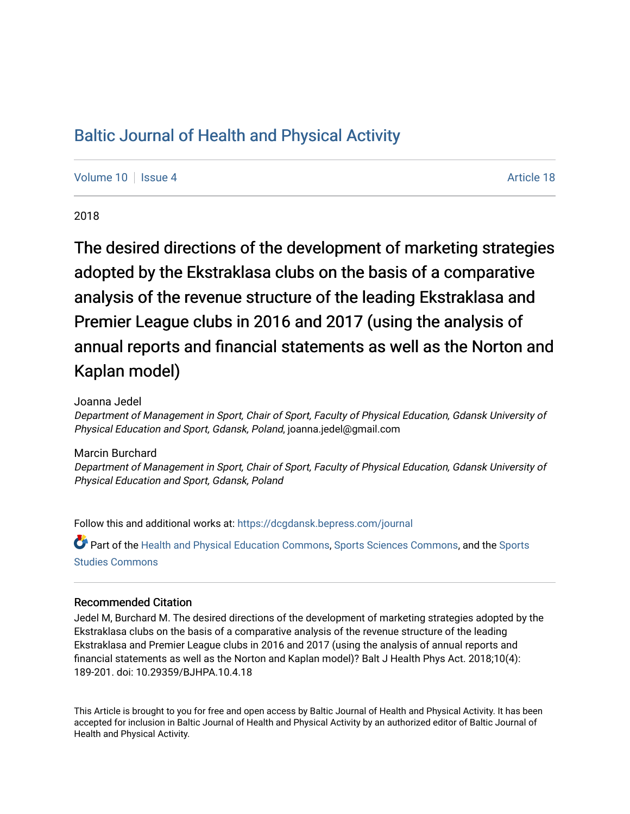# [Baltic Journal of Health and Physical Activity](https://dcgdansk.bepress.com/journal)

[Volume 10](https://dcgdansk.bepress.com/journal/vol10) | [Issue 4](https://dcgdansk.bepress.com/journal/vol10/iss4) Article 18

2018

The desired directions of the development of marketing strategies adopted by the Ekstraklasa clubs on the basis of a comparative analysis of the revenue structure of the leading Ekstraklasa and Premier League clubs in 2016 and 2017 (using the analysis of annual reports and financial statements as well as the Norton and Kaplan model)

Joanna Jedel

Department of Management in Sport, Chair of Sport, Faculty of Physical Education, Gdansk University of Physical Education and Sport, Gdansk, Poland, joanna.jedel@gmail.com

### Marcin Burchard

Department of Management in Sport, Chair of Sport, Faculty of Physical Education, Gdansk University of Physical Education and Sport, Gdansk, Poland

Follow this and additional works at: [https://dcgdansk.bepress.com/journal](https://dcgdansk.bepress.com/journal?utm_source=dcgdansk.bepress.com%2Fjournal%2Fvol10%2Fiss4%2F18&utm_medium=PDF&utm_campaign=PDFCoverPages)

Part of the [Health and Physical Education Commons](http://network.bepress.com/hgg/discipline/1327?utm_source=dcgdansk.bepress.com%2Fjournal%2Fvol10%2Fiss4%2F18&utm_medium=PDF&utm_campaign=PDFCoverPages), [Sports Sciences Commons](http://network.bepress.com/hgg/discipline/759?utm_source=dcgdansk.bepress.com%2Fjournal%2Fvol10%2Fiss4%2F18&utm_medium=PDF&utm_campaign=PDFCoverPages), and the [Sports](http://network.bepress.com/hgg/discipline/1198?utm_source=dcgdansk.bepress.com%2Fjournal%2Fvol10%2Fiss4%2F18&utm_medium=PDF&utm_campaign=PDFCoverPages)  [Studies Commons](http://network.bepress.com/hgg/discipline/1198?utm_source=dcgdansk.bepress.com%2Fjournal%2Fvol10%2Fiss4%2F18&utm_medium=PDF&utm_campaign=PDFCoverPages) 

### Recommended Citation

Jedel M, Burchard M. The desired directions of the development of marketing strategies adopted by the Ekstraklasa clubs on the basis of a comparative analysis of the revenue structure of the leading Ekstraklasa and Premier League clubs in 2016 and 2017 (using the analysis of annual reports and financial statements as well as the Norton and Kaplan model)? Balt J Health Phys Act. 2018;10(4): 189-201. doi: 10.29359/BJHPA.10.4.18

This Article is brought to you for free and open access by Baltic Journal of Health and Physical Activity. It has been accepted for inclusion in Baltic Journal of Health and Physical Activity by an authorized editor of Baltic Journal of Health and Physical Activity.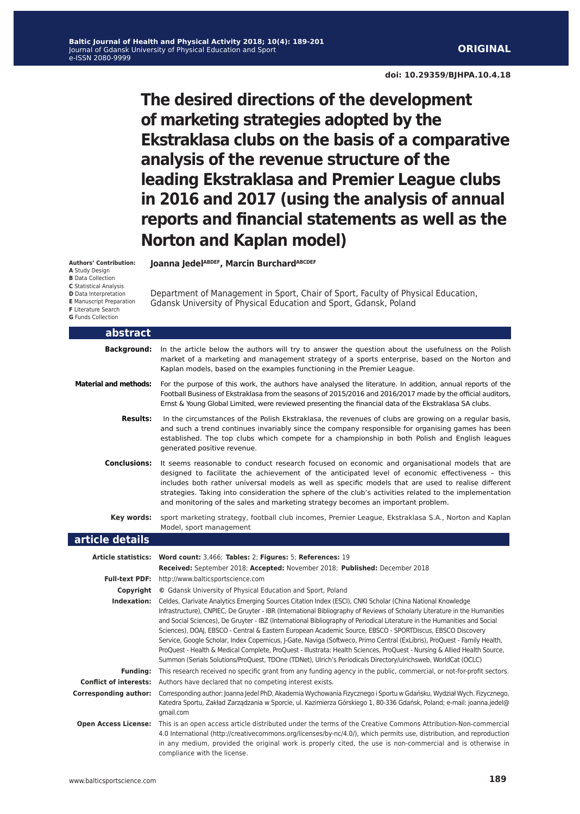**doi: 10.29359/BJHPA.10.4.18**

**The desired directions of the development of marketing strategies adopted by the Ekstraklasa clubs on the basis of a comparative analysis of the revenue structure of the leading Ekstraklasa and Premier League clubs in 2016 and 2017 (using the analysis of annual reports and financial statements as well as the Norton and Kaplan model)**

Department of Management in Sport, Chair of Sport, Faculty of Physical Education,

Gdansk University of Physical Education and Sport, Gdansk, Poland

**Joanna JedelABDEF, Marcin BurchardABCDEF** 

**Authors' Contribution: A** Study Design **B** Data Collection **C** Statistical Analysis **D** Data Interpretation **E** Manuscript Preparation **F** Literature Search

**G** Funds Collection

| <u>abstract</u>              |                                                                                                                                                                                                                                                                                                                                                                                                                                                                                                                                                                                                                                                                                                                                                                                                                                                            |
|------------------------------|------------------------------------------------------------------------------------------------------------------------------------------------------------------------------------------------------------------------------------------------------------------------------------------------------------------------------------------------------------------------------------------------------------------------------------------------------------------------------------------------------------------------------------------------------------------------------------------------------------------------------------------------------------------------------------------------------------------------------------------------------------------------------------------------------------------------------------------------------------|
| <b>Background:</b>           | In the article below the authors will try to answer the question about the usefulness on the Polish<br>market of a marketing and management strategy of a sports enterprise, based on the Norton and<br>Kaplan models, based on the examples functioning in the Premier League.                                                                                                                                                                                                                                                                                                                                                                                                                                                                                                                                                                            |
| <b>Material and methods:</b> | For the purpose of this work, the authors have analysed the literature. In addition, annual reports of the<br>Football Business of Ekstraklasa from the seasons of 2015/2016 and 2016/2017 made by the official auditors,<br>Ernst & Young Global Limited, were reviewed presenting the financial data of the Ekstraklasa SA clubs.                                                                                                                                                                                                                                                                                                                                                                                                                                                                                                                        |
| <b>Results:</b>              | In the circumstances of the Polish Ekstraklasa, the revenues of clubs are growing on a regular basis,<br>and such a trend continues invariably since the company responsible for organising games has been<br>established. The top clubs which compete for a championship in both Polish and English leagues<br>generated positive revenue.                                                                                                                                                                                                                                                                                                                                                                                                                                                                                                                |
| <b>Conclusions:</b>          | It seems reasonable to conduct research focused on economic and organisational models that are<br>designed to facilitate the achievement of the anticipated level of economic effectiveness - this<br>includes both rather universal models as well as specific models that are used to realise different<br>strategies. Taking into consideration the sphere of the club's activities related to the implementation<br>and monitoring of the sales and marketing strategy becomes an important problem.                                                                                                                                                                                                                                                                                                                                                   |
| Key words:                   | sport marketing strategy, football club incomes, Premier League, Ekstraklasa S.A., Norton and Kaplan<br>Model, sport management                                                                                                                                                                                                                                                                                                                                                                                                                                                                                                                                                                                                                                                                                                                            |
| article details              |                                                                                                                                                                                                                                                                                                                                                                                                                                                                                                                                                                                                                                                                                                                                                                                                                                                            |
|                              | Article statistics: Word count: 3,466; Tables: 2; Figures: 5; References: 19                                                                                                                                                                                                                                                                                                                                                                                                                                                                                                                                                                                                                                                                                                                                                                               |
|                              | Received: September 2018; Accepted: November 2018; Published: December 2018                                                                                                                                                                                                                                                                                                                                                                                                                                                                                                                                                                                                                                                                                                                                                                                |
|                              | Full-text PDF: http://www.balticsportscience.com                                                                                                                                                                                                                                                                                                                                                                                                                                                                                                                                                                                                                                                                                                                                                                                                           |
|                              | Copyright © Gdansk University of Physical Education and Sport, Poland                                                                                                                                                                                                                                                                                                                                                                                                                                                                                                                                                                                                                                                                                                                                                                                      |
| Indexation:                  | Celdes, Clarivate Analytics Emerging Sources Citation Index (ESCI), CNKI Scholar (China National Knowledge<br>Infrastructure), CNPIEC, De Gruyter - IBR (International Bibliography of Reviews of Scholarly Literature in the Humanities<br>and Social Sciences), De Gruyter - IBZ (International Bibliography of Periodical Literature in the Humanities and Social<br>Sciences), DOAJ, EBSCO - Central & Eastern European Academic Source, EBSCO - SPORTDiscus, EBSCO Discovery<br>Service, Google Scholar, Index Copernicus, J-Gate, Naviga (Softweco, Primo Central (ExLibris), ProQuest - Family Health,<br>ProQuest - Health & Medical Complete, ProQuest - Illustrata: Health Sciences, ProQuest - Nursing & Allied Health Source,<br>Summon (Serials Solutions/ProQuest, TDOne (TDNet), Ulrich's Periodicals Directory/ulrichsweb, WorldCat (OCLC) |
| <b>Funding:</b>              | This research received no specific grant from any funding agency in the public, commercial, or not-for-profit sectors.                                                                                                                                                                                                                                                                                                                                                                                                                                                                                                                                                                                                                                                                                                                                     |
|                              | <b>Conflict of interests:</b> Authors have declared that no competing interest exists.                                                                                                                                                                                                                                                                                                                                                                                                                                                                                                                                                                                                                                                                                                                                                                     |
| <b>Corresponding author:</b> | Corresponding author: Joanna Jedel PhD, Akademia Wychowania Fizycznego i Sportu w Gdańsku, Wydział Wych. Fizycznego,<br>Katedra Sportu, Zakład Zarządzania w Sporcie, ul. Kazimierza Górskiego 1, 80-336 Gdańsk, Poland; e-mail: joanna.jedel@<br>qmail.com                                                                                                                                                                                                                                                                                                                                                                                                                                                                                                                                                                                                |
| <b>Open Access License:</b>  | This is an open access article distributed under the terms of the Creative Commons Attribution-Non-commercial<br>4.0 International (http://creativecommons.org/licenses/by-nc/4.0/), which permits use, distribution, and reproduction<br>in any medium, provided the original work is properly cited, the use is non-commercial and is otherwise in<br>compliance with the license.                                                                                                                                                                                                                                                                                                                                                                                                                                                                       |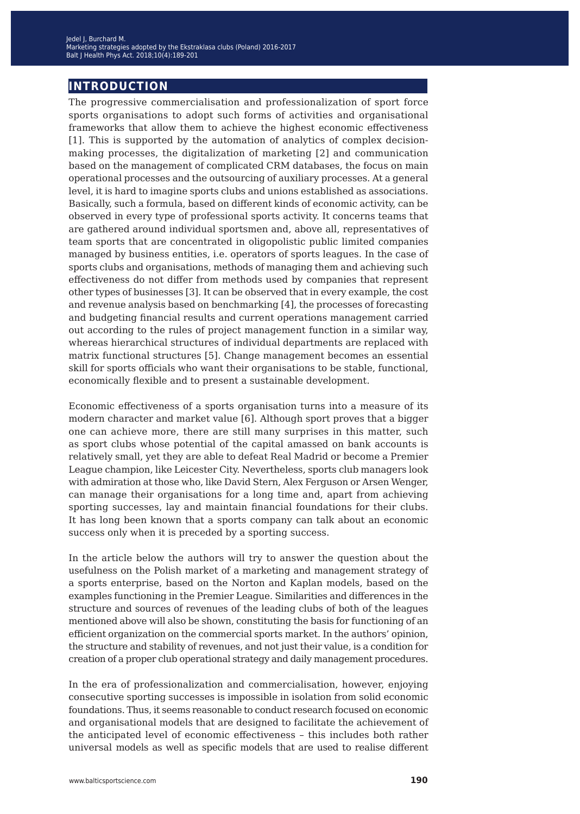## **introduction**

The progressive commercialisation and professionalization of sport force sports organisations to adopt such forms of activities and organisational frameworks that allow them to achieve the highest economic effectiveness [1]. This is supported by the automation of analytics of complex decisionmaking processes, the digitalization of marketing [2] and communication based on the management of complicated CRM databases, the focus on main operational processes and the outsourcing of auxiliary processes. At a general level, it is hard to imagine sports clubs and unions established as associations. Basically, such a formula, based on different kinds of economic activity, can be observed in every type of professional sports activity. It concerns teams that are gathered around individual sportsmen and, above all, representatives of team sports that are concentrated in oligopolistic public limited companies managed by business entities, i.e. operators of sports leagues. In the case of sports clubs and organisations, methods of managing them and achieving such effectiveness do not differ from methods used by companies that represent other types of businesses [3]. It can be observed that in every example, the cost and revenue analysis based on benchmarking [4], the processes of forecasting and budgeting financial results and current operations management carried out according to the rules of project management function in a similar way, whereas hierarchical structures of individual departments are replaced with matrix functional structures [5]. Change management becomes an essential skill for sports officials who want their organisations to be stable, functional, economically flexible and to present a sustainable development.

Economic effectiveness of a sports organisation turns into a measure of its modern character and market value [6]. Although sport proves that a bigger one can achieve more, there are still many surprises in this matter, such as sport clubs whose potential of the capital amassed on bank accounts is relatively small, yet they are able to defeat Real Madrid or become a Premier League champion, like Leicester City. Nevertheless, sports club managers look with admiration at those who, like David Stern, Alex Ferguson or Arsen Wenger, can manage their organisations for a long time and, apart from achieving sporting successes, lay and maintain financial foundations for their clubs. It has long been known that a sports company can talk about an economic success only when it is preceded by a sporting success.

In the article below the authors will try to answer the question about the usefulness on the Polish market of a marketing and management strategy of a sports enterprise, based on the Norton and Kaplan models, based on the examples functioning in the Premier League. Similarities and differences in the structure and sources of revenues of the leading clubs of both of the leagues mentioned above will also be shown, constituting the basis for functioning of an efficient organization on the commercial sports market. In the authors' opinion, the structure and stability of revenues, and not just their value, is a condition for creation of a proper club operational strategy and daily management procedures.

In the era of professionalization and commercialisation, however, enjoying consecutive sporting successes is impossible in isolation from solid economic foundations. Thus, it seems reasonable to conduct research focused on economic and organisational models that are designed to facilitate the achievement of the anticipated level of economic effectiveness – this includes both rather universal models as well as specific models that are used to realise different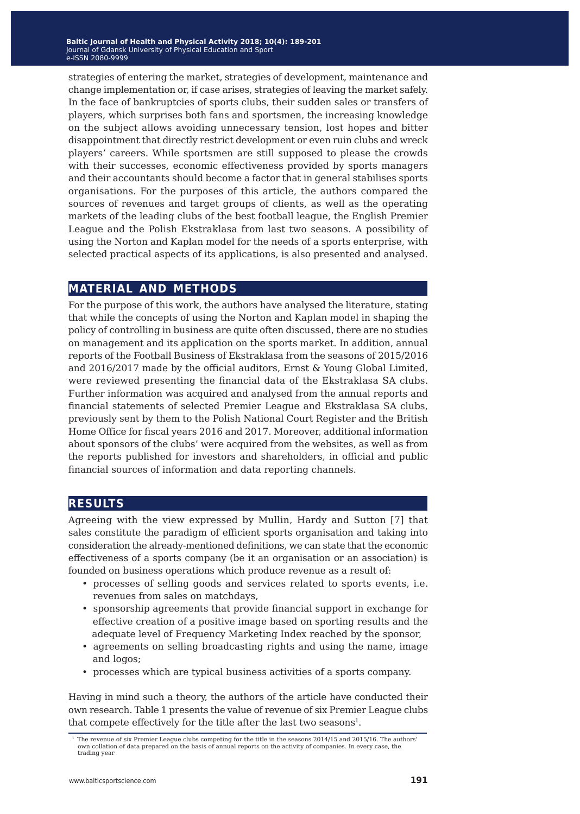strategies of entering the market, strategies of development, maintenance and change implementation or, if case arises, strategies of leaving the market safely. In the face of bankruptcies of sports clubs, their sudden sales or transfers of players, which surprises both fans and sportsmen, the increasing knowledge on the subject allows avoiding unnecessary tension, lost hopes and bitter disappointment that directly restrict development or even ruin clubs and wreck players' careers. While sportsmen are still supposed to please the crowds with their successes, economic effectiveness provided by sports managers and their accountants should become a factor that in general stabilises sports organisations. For the purposes of this article, the authors compared the sources of revenues and target groups of clients, as well as the operating markets of the leading clubs of the best football league, the English Premier League and the Polish Ekstraklasa from last two seasons. A possibility of using the Norton and Kaplan model for the needs of a sports enterprise, with selected practical aspects of its applications, is also presented and analysed.

### **material and methods**

For the purpose of this work, the authors have analysed the literature, stating that while the concepts of using the Norton and Kaplan model in shaping the policy of controlling in business are quite often discussed, there are no studies on management and its application on the sports market. In addition, annual reports of the Football Business of Ekstraklasa from the seasons of 2015/2016 and 2016/2017 made by the official auditors, Ernst & Young Global Limited, were reviewed presenting the financial data of the Ekstraklasa SA clubs. Further information was acquired and analysed from the annual reports and financial statements of selected Premier League and Ekstraklasa SA clubs, previously sent by them to the Polish National Court Register and the British Home Office for fiscal years 2016 and 2017. Moreover, additional information about sponsors of the clubs' were acquired from the websites, as well as from the reports published for investors and shareholders, in official and public financial sources of information and data reporting channels.

### **results**

Agreeing with the view expressed by Mullin, Hardy and Sutton [7] that sales constitute the paradigm of efficient sports organisation and taking into consideration the already-mentioned definitions, we can state that the economic effectiveness of a sports company (be it an organisation or an association) is founded on business operations which produce revenue as a result of:

- processes of selling goods and services related to sports events, i.e. revenues from sales on matchdays,
- sponsorship agreements that provide financial support in exchange for effective creation of a positive image based on sporting results and the adequate level of Frequency Marketing Index reached by the sponsor,
- agreements on selling broadcasting rights and using the name, image and logos;
- processes which are typical business activities of a sports company.

Having in mind such a theory, the authors of the article have conducted their own research. Table 1 presents the value of revenue of six Premier League clubs that compete effectively for the title after the last two seasons<sup>1</sup>.

<sup>&</sup>lt;sup>1</sup> The revenue of six Premier League clubs competing for the title in the seasons 2014/15 and 2015/16. The authors' own collation of data prepared on the basis of annual reports on the activity of companies. In every case, the trading year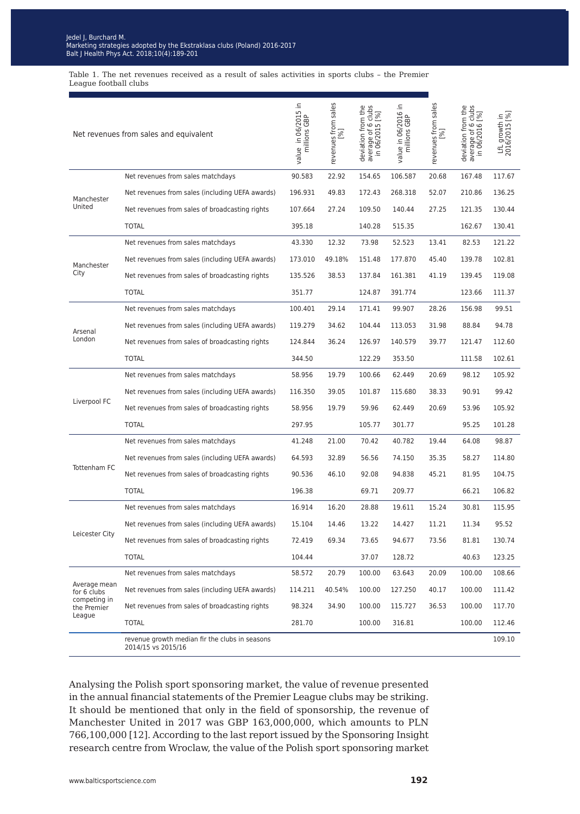### suer j, purchara m.<br>Ierketing etretegies ede Blooding Sudeegles dubbled by the Ekstrakiasa clabs (Foldhu) 2010-201<br>Alt I Haalth Dhua Aat (2010-10/4)-100-201  $\frac{B}{B}$  Health Phys Act. 2010, 10(4): 103-2014 Jedel J, Burchard M. Marketing strategies adopted by the Ekstraklasa clubs (Poland) 2016-2017 Balt J Health Phys Act. 2018;10(4):189-201

Table 1. The net revenues received as a result of sales activities in sports clubs – the Premier League football clubs

| Net revenues from sales and equivalent                               |                                                                      | value in 06/2015 in<br>millions GBP | revenues from sales<br>[%] | deviation from the<br>average of 6 clubs<br>in 06/2015 [%] | value in 06/2016 in<br>millions GBP | revenues from sales<br>$[%] \centering% \includegraphics[width=1.0\textwidth]{Figures/PN1.png} \caption{The 3D (black) model with the 3D (black) model with the 3D (black) model with the 3D (black) model with the 3D (black) model with the 3D (black) model with the 3D (black) model with the 3D (black) model with the 3D (black) model with the 3D (black) model with the 3D (black) model with the 3D (black) model with the 3D (black) model with the 3D (black) model with the 3D (black) model with the 3D (black) model with the 3D (black) model with the 3D (black) model with the 3D (black) model with the 3D (black) model with the 3D (black) model with the$ | deviation from the<br>average of 6 clubs<br>in 06/2016 [%] | LfL growth in<br>2016/2015 [%] |
|----------------------------------------------------------------------|----------------------------------------------------------------------|-------------------------------------|----------------------------|------------------------------------------------------------|-------------------------------------|--------------------------------------------------------------------------------------------------------------------------------------------------------------------------------------------------------------------------------------------------------------------------------------------------------------------------------------------------------------------------------------------------------------------------------------------------------------------------------------------------------------------------------------------------------------------------------------------------------------------------------------------------------------------------------|------------------------------------------------------------|--------------------------------|
| Manchester<br>United                                                 | Net revenues from sales matchdays                                    | 90.583                              | 22.92                      | 154.65                                                     | 106.587                             | 20.68                                                                                                                                                                                                                                                                                                                                                                                                                                                                                                                                                                                                                                                                          | 167.48                                                     | 117.67                         |
|                                                                      | Net revenues from sales (including UEFA awards)                      | 196.931                             | 49.83                      | 172.43                                                     | 268.318                             | 52.07                                                                                                                                                                                                                                                                                                                                                                                                                                                                                                                                                                                                                                                                          | 210.86                                                     | 136.25                         |
|                                                                      | Net revenues from sales of broadcasting rights                       | 107.664                             | 27.24                      | 109.50                                                     | 140.44                              | 27.25                                                                                                                                                                                                                                                                                                                                                                                                                                                                                                                                                                                                                                                                          | 121.35                                                     | 130.44                         |
|                                                                      | <b>TOTAL</b>                                                         | 395.18                              |                            | 140.28                                                     | 515.35                              |                                                                                                                                                                                                                                                                                                                                                                                                                                                                                                                                                                                                                                                                                | 162.67                                                     | 130.41                         |
|                                                                      | Net revenues from sales matchdays                                    | 43.330                              | 12.32                      | 73.98                                                      | 52.523                              | 13.41                                                                                                                                                                                                                                                                                                                                                                                                                                                                                                                                                                                                                                                                          | 82.53                                                      | 121.22                         |
| Manchester                                                           | Net revenues from sales (including UEFA awards)                      | 173.010                             | 49.18%                     | 151.48                                                     | 177.870                             | 45.40                                                                                                                                                                                                                                                                                                                                                                                                                                                                                                                                                                                                                                                                          | 139.78                                                     | 102.81                         |
| City                                                                 | Net revenues from sales of broadcasting rights                       | 135.526                             | 38.53                      | 137.84                                                     | 161.381                             | 41.19                                                                                                                                                                                                                                                                                                                                                                                                                                                                                                                                                                                                                                                                          | 139.45                                                     | 119.08                         |
|                                                                      | <b>TOTAL</b>                                                         | 351.77                              |                            | 124.87                                                     | 391.774                             |                                                                                                                                                                                                                                                                                                                                                                                                                                                                                                                                                                                                                                                                                | 123.66                                                     | 111.37                         |
| Arsenal<br>London                                                    | Net revenues from sales matchdays                                    | 100.401                             | 29.14                      | 171.41                                                     | 99.907                              | 28.26                                                                                                                                                                                                                                                                                                                                                                                                                                                                                                                                                                                                                                                                          | 156.98                                                     | 99.51                          |
|                                                                      | Net revenues from sales (including UEFA awards)                      | 119.279                             | 34.62                      | 104.44                                                     | 113.053                             | 31.98                                                                                                                                                                                                                                                                                                                                                                                                                                                                                                                                                                                                                                                                          | 88.84                                                      | 94.78                          |
|                                                                      | Net revenues from sales of broadcasting rights                       | 124.844                             | 36.24                      | 126.97                                                     | 140.579                             | 39.77                                                                                                                                                                                                                                                                                                                                                                                                                                                                                                                                                                                                                                                                          | 121.47                                                     | 112.60                         |
|                                                                      | <b>TOTAL</b>                                                         | 344.50                              |                            | 122.29                                                     | 353.50                              |                                                                                                                                                                                                                                                                                                                                                                                                                                                                                                                                                                                                                                                                                | 111.58                                                     | 102.61                         |
|                                                                      | Net revenues from sales matchdays                                    | 58.956                              | 19.79                      | 100.66                                                     | 62.449                              | 20.69                                                                                                                                                                                                                                                                                                                                                                                                                                                                                                                                                                                                                                                                          | 98.12                                                      | 105.92                         |
|                                                                      | Net revenues from sales (including UEFA awards)                      | 116.350                             | 39.05                      | 101.87                                                     | 115.680                             | 38.33                                                                                                                                                                                                                                                                                                                                                                                                                                                                                                                                                                                                                                                                          | 90.91                                                      | 99.42                          |
| Liverpool FC                                                         | Net revenues from sales of broadcasting rights                       | 58.956                              | 19.79                      | 59.96                                                      | 62.449                              | 20.69                                                                                                                                                                                                                                                                                                                                                                                                                                                                                                                                                                                                                                                                          | 53.96                                                      | 105.92                         |
|                                                                      | <b>TOTAL</b>                                                         | 297.95                              |                            | 105.77                                                     | 301.77                              |                                                                                                                                                                                                                                                                                                                                                                                                                                                                                                                                                                                                                                                                                | 95.25                                                      | 101.28                         |
|                                                                      | Net revenues from sales matchdays                                    | 41.248                              | 21.00                      | 70.42                                                      | 40.782                              | 19.44                                                                                                                                                                                                                                                                                                                                                                                                                                                                                                                                                                                                                                                                          | 64.08                                                      | 98.87                          |
|                                                                      | Net revenues from sales (including UEFA awards)                      | 64.593                              | 32.89                      | 56.56                                                      | 74.150                              | 35.35                                                                                                                                                                                                                                                                                                                                                                                                                                                                                                                                                                                                                                                                          | 58.27                                                      | 114.80                         |
| Tottenham FC                                                         | Net revenues from sales of broadcasting rights                       | 90.536                              | 46.10                      | 92.08                                                      | 94.838                              | 45.21                                                                                                                                                                                                                                                                                                                                                                                                                                                                                                                                                                                                                                                                          | 81.95                                                      | 104.75                         |
|                                                                      | <b>TOTAL</b>                                                         | 196.38                              |                            | 69.71                                                      | 209.77                              |                                                                                                                                                                                                                                                                                                                                                                                                                                                                                                                                                                                                                                                                                | 66.21                                                      | 106.82                         |
| Leicester City                                                       | Net revenues from sales matchdays                                    | 16.914                              | 16.20                      | 28.88                                                      | 19.611                              | 15.24                                                                                                                                                                                                                                                                                                                                                                                                                                                                                                                                                                                                                                                                          | 30.81                                                      | 115.95                         |
|                                                                      | Net revenues from sales (including UEFA awards)                      | 15.104                              | 14.46                      | 13.22                                                      | 14.427                              | 11.21                                                                                                                                                                                                                                                                                                                                                                                                                                                                                                                                                                                                                                                                          | 11.34                                                      | 95.52                          |
|                                                                      | Net revenues from sales of broadcasting rights                       | 72.419                              | 69.34                      | 73.65                                                      | 94.677                              | 73.56                                                                                                                                                                                                                                                                                                                                                                                                                                                                                                                                                                                                                                                                          | 81.81                                                      | 130.74                         |
|                                                                      | <b>TOTAL</b>                                                         | 104.44                              |                            | 37.07                                                      | 128.72                              |                                                                                                                                                                                                                                                                                                                                                                                                                                                                                                                                                                                                                                                                                | 40.63                                                      | 123.25                         |
| Average mean<br>for 6 clubs<br>competing in<br>the Premier<br>League | Net revenues from sales matchdays                                    | 58.572                              | 20.79                      | 100.00                                                     | 63.643                              | 20.09                                                                                                                                                                                                                                                                                                                                                                                                                                                                                                                                                                                                                                                                          | 100.00                                                     | 108.66                         |
|                                                                      | Net revenues from sales (including UEFA awards)                      | 114.211                             | 40.54%                     | 100.00                                                     | 127.250                             | 40.17                                                                                                                                                                                                                                                                                                                                                                                                                                                                                                                                                                                                                                                                          | 100.00                                                     | 111.42                         |
|                                                                      | Net revenues from sales of broadcasting rights                       | 98.324                              | 34.90                      | 100.00                                                     | 115.727                             | 36.53                                                                                                                                                                                                                                                                                                                                                                                                                                                                                                                                                                                                                                                                          | 100.00                                                     | 117.70                         |
|                                                                      | <b>TOTAL</b>                                                         | 281.70                              |                            | 100.00                                                     | 316.81                              |                                                                                                                                                                                                                                                                                                                                                                                                                                                                                                                                                                                                                                                                                | 100.00                                                     | 112.46                         |
|                                                                      | revenue growth median fir the clubs in seasons<br>2014/15 vs 2015/16 |                                     |                            |                                                            |                                     |                                                                                                                                                                                                                                                                                                                                                                                                                                                                                                                                                                                                                                                                                |                                                            | 109.10                         |

Analysing the Polish sport sponsoring market, the value of revenue presented in the annual financial statements of the Premier League clubs may be striking. It should be mentioned that only in the field of sponsorship, the revenue of Manchester United in 2017 was GBP 163,000,000, which amounts to PLN 766,100,000 [12]. According to the last report issued by the Sponsoring Insight research centre from Wroclaw, the value of the Polish sport sponsoring market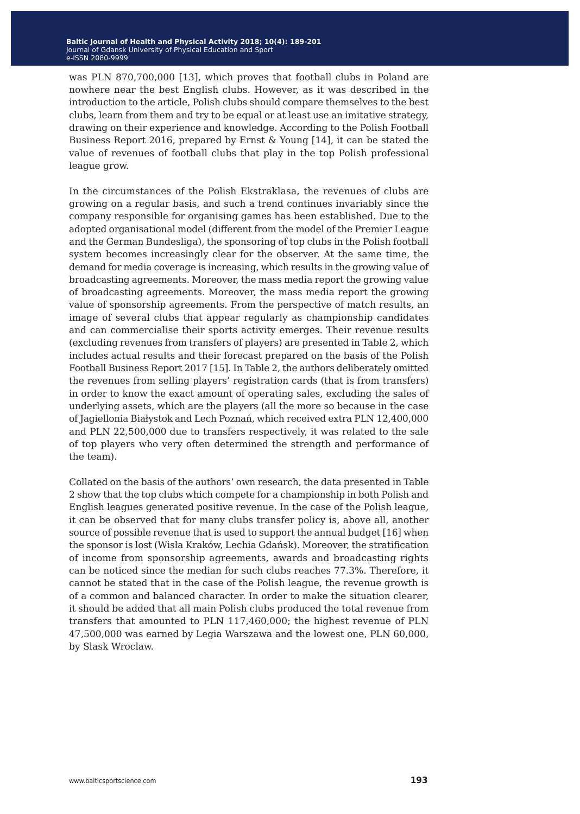was PLN 870,700,000 [13], which proves that football clubs in Poland are nowhere near the best English clubs. However, as it was described in the introduction to the article, Polish clubs should compare themselves to the best clubs, learn from them and try to be equal or at least use an imitative strategy, drawing on their experience and knowledge. According to the Polish Football Business Report 2016, prepared by Ernst & Young [14], it can be stated the value of revenues of football clubs that play in the top Polish professional league grow.

In the circumstances of the Polish Ekstraklasa, the revenues of clubs are growing on a regular basis, and such a trend continues invariably since the company responsible for organising games has been established. Due to the adopted organisational model (different from the model of the Premier League and the German Bundesliga), the sponsoring of top clubs in the Polish football system becomes increasingly clear for the observer. At the same time, the demand for media coverage is increasing, which results in the growing value of broadcasting agreements. Moreover, the mass media report the growing value of broadcasting agreements. Moreover, the mass media report the growing value of sponsorship agreements. From the perspective of match results, an image of several clubs that appear regularly as championship candidates and can commercialise their sports activity emerges. Their revenue results (excluding revenues from transfers of players) are presented in Table 2, which includes actual results and their forecast prepared on the basis of the Polish Football Business Report 2017 [15]. In Table 2, the authors deliberately omitted the revenues from selling players' registration cards (that is from transfers) in order to know the exact amount of operating sales, excluding the sales of underlying assets, which are the players (all the more so because in the case of Jagiellonia Białystok and Lech Poznań, which received extra PLN 12,400,000 and PLN 22,500,000 due to transfers respectively, it was related to the sale of top players who very often determined the strength and performance of the team).

Collated on the basis of the authors' own research, the data presented in Table 2 show that the top clubs which compete for a championship in both Polish and English leagues generated positive revenue. In the case of the Polish league, it can be observed that for many clubs transfer policy is, above all, another source of possible revenue that is used to support the annual budget [16] when the sponsor is lost (Wisła Kraków, Lechia Gdańsk). Moreover, the stratification of income from sponsorship agreements, awards and broadcasting rights can be noticed since the median for such clubs reaches 77.3%. Therefore, it cannot be stated that in the case of the Polish league, the revenue growth is of a common and balanced character. In order to make the situation clearer, it should be added that all main Polish clubs produced the total revenue from transfers that amounted to PLN 117,460,000; the highest revenue of PLN 47,500,000 was earned by Legia Warszawa and the lowest one, PLN 60,000, by Slask Wroclaw.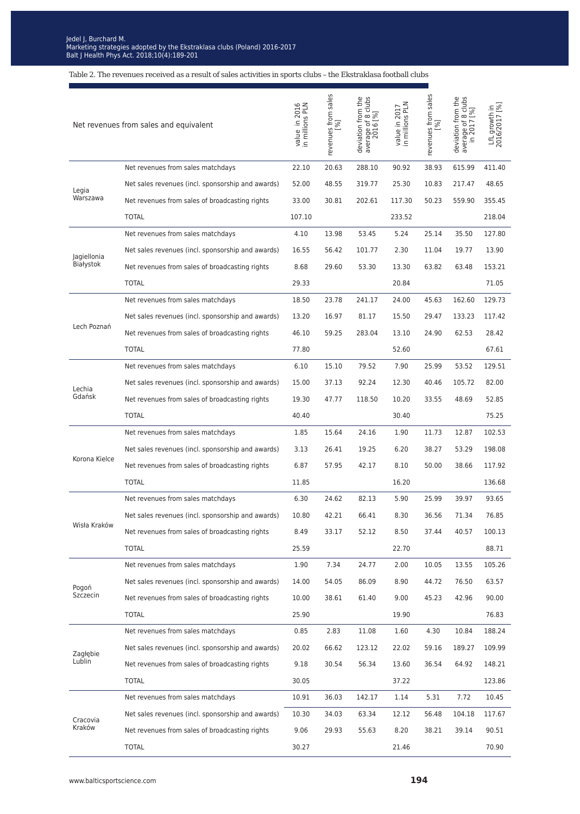Table 2. The revenues received as a result of sales activities in sports clubs – the Ekstraklasa football clubs

| Net revenues from sales and equivalent |                                                   | value in 2016<br>in millions PLN | revenues from sales<br>[%] | deviation from the<br>average of 8 clubs<br>2016 [%] | value in 2017<br>in millions PLN | revenues from sales<br>[%] | deviation from the<br>average of 8 clubs<br>in 2017 [%] | LfL growth in<br>2016/2017 [%] |
|----------------------------------------|---------------------------------------------------|----------------------------------|----------------------------|------------------------------------------------------|----------------------------------|----------------------------|---------------------------------------------------------|--------------------------------|
|                                        | Net revenues from sales matchdays                 | 22.10                            | 20.63                      | 288.10                                               | 90.92                            | 38.93                      | 615.99                                                  | 411.40                         |
| Legia<br>Warszawa                      | Net sales revenues (incl. sponsorship and awards) | 52.00                            | 48.55                      | 319.77                                               | 25.30                            | 10.83                      | 217.47                                                  | 48.65                          |
|                                        | Net revenues from sales of broadcasting rights    | 33.00                            | 30.81                      | 202.61                                               | 117.30                           | 50.23                      | 559.90                                                  | 355.45                         |
|                                        | <b>TOTAL</b>                                      | 107.10                           |                            |                                                      | 233.52                           |                            |                                                         | 218.04                         |
|                                        | Net revenues from sales matchdays                 | 4.10                             | 13.98                      | 53.45                                                | 5.24                             | 25.14                      | 35.50                                                   | 127.80                         |
| Jagiellonia                            | Net sales revenues (incl. sponsorship and awards) | 16.55                            | 56.42                      | 101.77                                               | 2.30                             | 11.04                      | 19.77                                                   | 13.90                          |
| Białystok                              | Net revenues from sales of broadcasting rights    | 8.68                             | 29.60                      | 53.30                                                | 13.30                            | 63.82                      | 63.48                                                   | 153.21                         |
|                                        | <b>TOTAL</b>                                      | 29.33                            |                            |                                                      | 20.84                            |                            |                                                         | 71.05                          |
|                                        | Net revenues from sales matchdays                 | 18.50                            | 23.78                      | 241.17                                               | 24.00                            | 45.63                      | 162.60                                                  | 129.73                         |
|                                        | Net sales revenues (incl. sponsorship and awards) | 13.20                            | 16.97                      | 81.17                                                | 15.50                            | 29.47                      | 133.23                                                  | 117.42                         |
| Lech Poznań                            | Net revenues from sales of broadcasting rights    | 46.10                            | 59.25                      | 283.04                                               | 13.10                            | 24.90                      | 62.53                                                   | 28.42                          |
|                                        | <b>TOTAL</b>                                      | 77.80                            |                            |                                                      | 52.60                            |                            |                                                         | 67.61                          |
|                                        | Net revenues from sales matchdays                 | 6.10                             | 15.10                      | 79.52                                                | 7.90                             | 25.99                      | 53.52                                                   | 129.51                         |
| Lechia<br>Gdańsk                       | Net sales revenues (incl. sponsorship and awards) | 15.00                            | 37.13                      | 92.24                                                | 12.30                            | 40.46                      | 105.72                                                  | 82.00                          |
|                                        | Net revenues from sales of broadcasting rights    | 19.30                            | 47.77                      | 118.50                                               | 10.20                            | 33.55                      | 48.69                                                   | 52.85                          |
|                                        | <b>TOTAL</b>                                      | 40.40                            |                            |                                                      | 30.40                            |                            |                                                         | 75.25                          |
|                                        | Net revenues from sales matchdays                 | 1.85                             | 15.64                      | 24.16                                                | 1.90                             | 11.73                      | 12.87                                                   | 102.53                         |
|                                        | Net sales revenues (incl. sponsorship and awards) | 3.13                             | 26.41                      | 19.25                                                | 6.20                             | 38.27                      | 53.29                                                   | 198.08                         |
| Korona Kielce                          | Net revenues from sales of broadcasting rights    | 6.87                             | 57.95                      | 42.17                                                | 8.10                             | 50.00                      | 38.66                                                   | 117.92                         |
|                                        | <b>TOTAL</b>                                      | 11.85                            |                            |                                                      | 16.20                            |                            |                                                         | 136.68                         |
|                                        | Net revenues from sales matchdays                 | 6.30                             | 24.62                      | 82.13                                                | 5.90                             | 25.99                      | 39.97                                                   | 93.65                          |
|                                        | Net sales revenues (incl. sponsorship and awards) | 10.80                            | 42.21                      | 66.41                                                | 8.30                             | 36.56                      | 71.34                                                   | 76.85                          |
| Wisła Kraków                           | Net revenues from sales of broadcasting rights    | 8.49                             | 33.17                      | 52.12                                                | 8.50                             | 37.44                      | 40.57                                                   | 100.13                         |
|                                        | <b>TOTAL</b>                                      | 25.59                            |                            |                                                      | 22.70                            |                            |                                                         | 88.71                          |
|                                        | Net revenues from sales matchdays                 | 1.90                             | 7.34                       | 24.77                                                | 2.00                             | 10.05                      | 13.55                                                   | 105.26                         |
| Pogoń<br>Szczecin                      | Net sales revenues (incl. sponsorship and awards) | 14.00                            | 54.05                      | 86.09                                                | 8.90                             | 44.72                      | 76.50                                                   | 63.57                          |
|                                        | Net revenues from sales of broadcasting rights    | 10.00                            | 38.61                      | 61.40                                                | 9.00                             | 45.23                      | 42.96                                                   | 90.00                          |
|                                        | <b>TOTAL</b>                                      | 25.90                            |                            |                                                      | 19.90                            |                            |                                                         | 76.83                          |
| Zagłębie<br>Lublin                     | Net revenues from sales matchdays                 | 0.85                             | 2.83                       | 11.08                                                | 1.60                             | 4.30                       | 10.84                                                   | 188.24                         |
|                                        | Net sales revenues (incl. sponsorship and awards) | 20.02                            | 66.62                      | 123.12                                               | 22.02                            | 59.16                      | 189.27                                                  | 109.99                         |
|                                        | Net revenues from sales of broadcasting rights    | 9.18                             | 30.54                      | 56.34                                                | 13.60                            | 36.54                      | 64.92                                                   | 148.21                         |
|                                        | <b>TOTAL</b>                                      | 30.05                            |                            |                                                      | 37.22                            |                            |                                                         | 123.86                         |
|                                        | Net revenues from sales matchdays                 | 10.91                            | 36.03                      | 142.17                                               | 1.14                             | 5.31                       | 7.72                                                    | 10.45                          |
| Cracovia<br>Kraków                     | Net sales revenues (incl. sponsorship and awards) | 10.30                            | 34.03                      | 63.34                                                | 12.12                            | 56.48                      | 104.18                                                  | 117.67                         |
|                                        | Net revenues from sales of broadcasting rights    | 9.06                             | 29.93                      | 55.63                                                | 8.20                             | 38.21                      | 39.14                                                   | 90.51                          |
|                                        | <b>TOTAL</b>                                      | 30.27                            |                            |                                                      | 21.46                            |                            |                                                         | 70.90                          |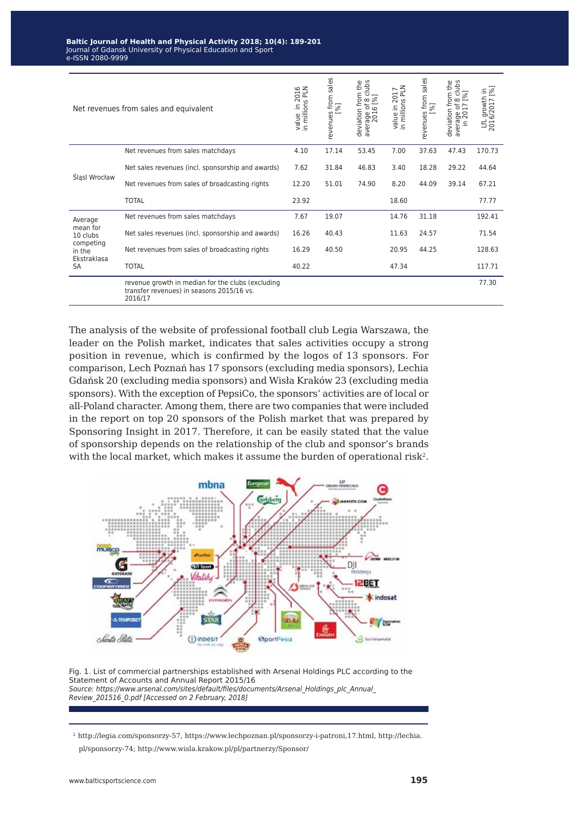| Net revenues from sales and equivalent                                             |                                                                                                           | in 2016<br>ons PLN<br>in millions<br>value | sales<br>revenues from<br>[%] | deviation from the<br>clubs<br>average of 8 c<br>2016 [%] | value in 2017<br>in millions PLN | sales<br>revenues from<br>[%] | deviation from the<br>clubs<br>[%]<br>${}^{\circ}$<br>average of 8<br>in 2017 | [%]<br>growth in<br>2016/2017<br>$\mathbb{H}$ |
|------------------------------------------------------------------------------------|-----------------------------------------------------------------------------------------------------------|--------------------------------------------|-------------------------------|-----------------------------------------------------------|----------------------------------|-------------------------------|-------------------------------------------------------------------------------|-----------------------------------------------|
| Šląsl Wrocław                                                                      | Net revenues from sales matchdays                                                                         | 4.10                                       | 17.14                         | 53.45                                                     | 7.00                             | 37.63                         | 47.43                                                                         | 170.73                                        |
|                                                                                    | Net sales revenues (incl. sponsorship and awards)                                                         | 7.62                                       | 31.84                         | 46.83                                                     | 3.40                             | 18.28                         | 29.22                                                                         | 44.64                                         |
|                                                                                    | Net revenues from sales of broadcasting rights                                                            | 12.20                                      | 51.01                         | 74.90                                                     | 8.20                             | 44.09                         | 39.14                                                                         | 67.21                                         |
|                                                                                    | <b>TOTAL</b>                                                                                              | 23.92                                      |                               |                                                           | 18.60                            |                               |                                                                               | 77.77                                         |
| Average<br>mean for<br>10 clubs<br>competing<br>in the<br>Ekstraklasa<br><b>SA</b> | Net revenues from sales matchdays                                                                         | 7.67                                       | 19.07                         |                                                           | 14.76                            | 31.18                         |                                                                               | 192.41                                        |
|                                                                                    | Net sales revenues (incl. sponsorship and awards)                                                         | 16.26                                      | 40.43                         |                                                           | 11.63                            | 24.57                         |                                                                               | 71.54                                         |
|                                                                                    | Net revenues from sales of broadcasting rights                                                            | 16.29                                      | 40.50                         |                                                           | 20.95                            | 44.25                         |                                                                               | 128.63                                        |
|                                                                                    | <b>TOTAL</b>                                                                                              | 40.22                                      |                               |                                                           | 47.34                            |                               |                                                                               | 117.71                                        |
|                                                                                    | revenue growth in median for the clubs (excluding<br>transfer revenues) in seasons 2015/16 vs.<br>2016/17 |                                            |                               |                                                           |                                  |                               |                                                                               | 77.30                                         |

The analysis of the website of professional football club Legia Warszawa, the leader on the Polish market, indicates that sales activities occupy a strong position in revenue, which is confirmed by the logos of 13 sponsors. For comparison, Lech Poznań has 17 sponsors (excluding media sponsors), Lechia Gdańsk 20 (excluding media sponsors) and Wisła Kraków 23 (excluding media sponsors). With the exception of PepsiCo, the sponsors' activities are of local or all-Poland character. Among them, there are two companies that were included in the report on top 20 sponsors of the Polish market that was prepared by Sponsoring Insight in 2017. Therefore, it can be easily stated that the value of sponsorship depends on the relationship of the club and sponsor's brands with the local market, which makes it assume the burden of operational risk<sup>2</sup>.



Fig. 1. List of commercial partnerships established with Arsenal Holdings PLC according to the Statement of Accounts and Annual Report 2015/16 Source: https://www.arsenal.com/sites/default/files/documents/Arsenal\_Holdings\_plc\_Annual Review\_201516\_0.pdf [Accessed on 2 February, 2018]

2 http://legia.com/sponsorzy-57, https://www.lechpoznan.pl/sponsorzy-i-patroni,17.html, http://lechia. pl/sponsorzy-74; http://www.wisla.krakow.pl/pl/partnerzy/Sponsor/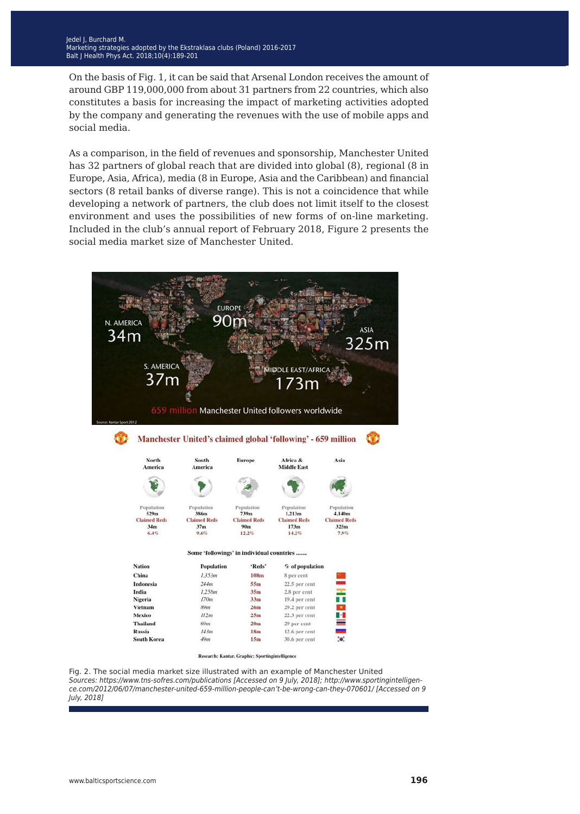On the basis of Fig. 1, it can be said that Arsenal London receives the amount of around GBP 119,000,000 from about 31 partners from 22 countries, which also constitutes a basis for increasing the impact of marketing activities adopted by the company and generating the revenues with the use of mobile apps and social media.

As a comparison, in the field of revenues and sponsorship, Manchester United has 32 partners of global reach that are divided into global (8), regional (8 in Europe, Asia, Africa), media (8 in Europe, Asia and the Caribbean) and financial sectors (8 retail banks of diverse range). This is not a coincidence that while developing a network of partners, the club does not limit itself to the closest environment and uses the possibilities of new forms of on-line marketing. Included in the club's annual report of February 2018, Figure 2 presents the social media market size of Manchester United.



Research: Kantar. Graphic: Sportingintelligence

Fig. 2. The social media market size illustrated with an example of Manchester United Sources: https://www.tns-sofres.com/publications [Accessed on 9 July, 2018]; http://www.sportingintelligence.com/2012/06/07/manchester-united-659-million-people-can't-be-wrong-can-they-070601/ [Accessed on 9 July, 2018]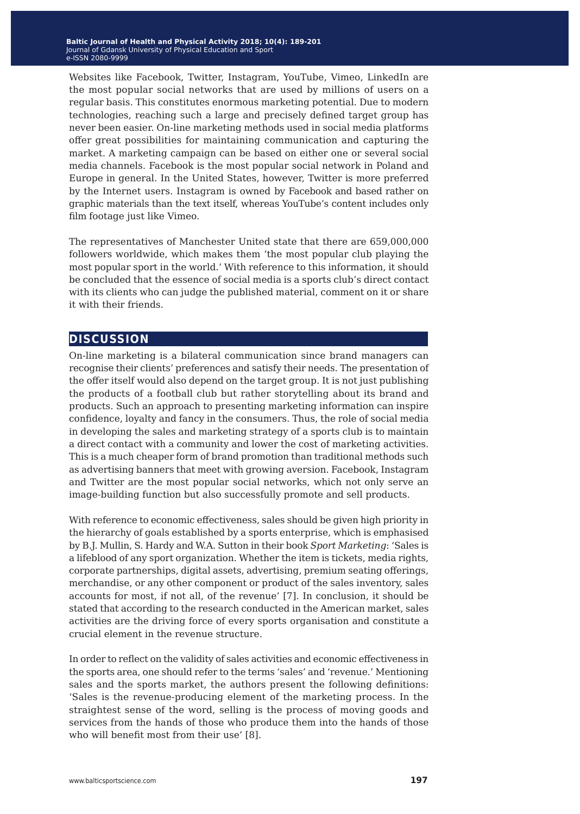Websites like Facebook, Twitter, Instagram, YouTube, Vimeo, LinkedIn are the most popular social networks that are used by millions of users on a regular basis. This constitutes enormous marketing potential. Due to modern technologies, reaching such a large and precisely defined target group has never been easier. On-line marketing methods used in social media platforms offer great possibilities for maintaining communication and capturing the market. A marketing campaign can be based on either one or several social media channels. Facebook is the most popular social network in Poland and Europe in general. In the United States, however, Twitter is more preferred by the Internet users. Instagram is owned by Facebook and based rather on graphic materials than the text itself, whereas YouTube's content includes only film footage just like Vimeo.

The representatives of Manchester United state that there are 659,000,000 followers worldwide, which makes them 'the most popular club playing the most popular sport in the world.' With reference to this information, it should be concluded that the essence of social media is a sports club's direct contact with its clients who can judge the published material, comment on it or share it with their friends.

### **discussion**

On-line marketing is a bilateral communication since brand managers can recognise their clients' preferences and satisfy their needs. The presentation of the offer itself would also depend on the target group. It is not just publishing the products of a football club but rather storytelling about its brand and products. Such an approach to presenting marketing information can inspire confidence, loyalty and fancy in the consumers. Thus, the role of social media in developing the sales and marketing strategy of a sports club is to maintain a direct contact with a community and lower the cost of marketing activities. This is a much cheaper form of brand promotion than traditional methods such as advertising banners that meet with growing aversion. Facebook, Instagram and Twitter are the most popular social networks, which not only serve an image-building function but also successfully promote and sell products.

With reference to economic effectiveness, sales should be given high priority in the hierarchy of goals established by a sports enterprise, which is emphasised by B.J. Mullin, S. Hardy and W.A. Sutton in their book *Sport Marketing*: 'Sales is a lifeblood of any sport organization. Whether the item is tickets, media rights, corporate partnerships, digital assets, advertising, premium seating offerings, merchandise, or any other component or product of the sales inventory, sales accounts for most, if not all, of the revenue' [7]. In conclusion, it should be stated that according to the research conducted in the American market, sales activities are the driving force of every sports organisation and constitute a crucial element in the revenue structure.

In order to reflect on the validity of sales activities and economic effectiveness in the sports area, one should refer to the terms 'sales' and 'revenue.' Mentioning sales and the sports market, the authors present the following definitions: 'Sales is the revenue-producing element of the marketing process. In the straightest sense of the word, selling is the process of moving goods and services from the hands of those who produce them into the hands of those who will benefit most from their use' [8].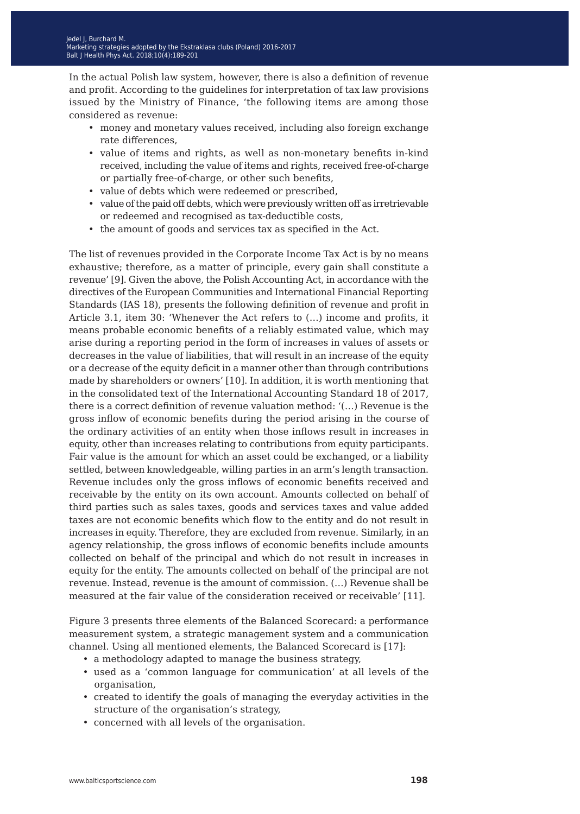In the actual Polish law system, however, there is also a definition of revenue and profit. According to the guidelines for interpretation of tax law provisions issued by the Ministry of Finance, 'the following items are among those considered as revenue:

- money and monetary values received, including also foreign exchange rate differences,
- value of items and rights, as well as non-monetary benefits in-kind received, including the value of items and rights, received free-of-charge or partially free-of-charge, or other such benefits,
- value of debts which were redeemed or prescribed,
- value of the paid off debts, which were previously written off as irretrievable or redeemed and recognised as tax-deductible costs,
- the amount of goods and services tax as specified in the Act.

The list of revenues provided in the Corporate Income Tax Act is by no means exhaustive; therefore, as a matter of principle, every gain shall constitute a revenue' [9]. Given the above, the Polish Accounting Act, in accordance with the directives of the European Communities and International Financial Reporting Standards (IAS 18), presents the following definition of revenue and profit in Article 3.1, item 30: 'Whenever the Act refers to (…) income and profits, it means probable economic benefits of a reliably estimated value, which may arise during a reporting period in the form of increases in values of assets or decreases in the value of liabilities, that will result in an increase of the equity or a decrease of the equity deficit in a manner other than through contributions made by shareholders or owners' [10]. In addition, it is worth mentioning that in the consolidated text of the International Accounting Standard 18 of 2017, there is a correct definition of revenue valuation method: '(…) Revenue is the gross inflow of economic benefits during the period arising in the course of the ordinary activities of an entity when those inflows result in increases in equity, other than increases relating to contributions from equity participants. Fair value is the amount for which an asset could be exchanged, or a liability settled, between knowledgeable, willing parties in an arm's length transaction. Revenue includes only the gross inflows of economic benefits received and receivable by the entity on its own account. Amounts collected on behalf of third parties such as sales taxes, goods and services taxes and value added taxes are not economic benefits which flow to the entity and do not result in increases in equity. Therefore, they are excluded from revenue. Similarly, in an agency relationship, the gross inflows of economic benefits include amounts collected on behalf of the principal and which do not result in increases in equity for the entity. The amounts collected on behalf of the principal are not revenue. Instead, revenue is the amount of commission. (…) Revenue shall be measured at the fair value of the consideration received or receivable' [11].

Figure 3 presents three elements of the Balanced Scorecard: a performance measurement system, a strategic management system and a communication channel. Using all mentioned elements, the Balanced Scorecard is [17]:

- a methodology adapted to manage the business strategy,
- used as a 'common language for communication' at all levels of the organisation,
- created to identify the goals of managing the everyday activities in the structure of the organisation's strategy,
- concerned with all levels of the organisation.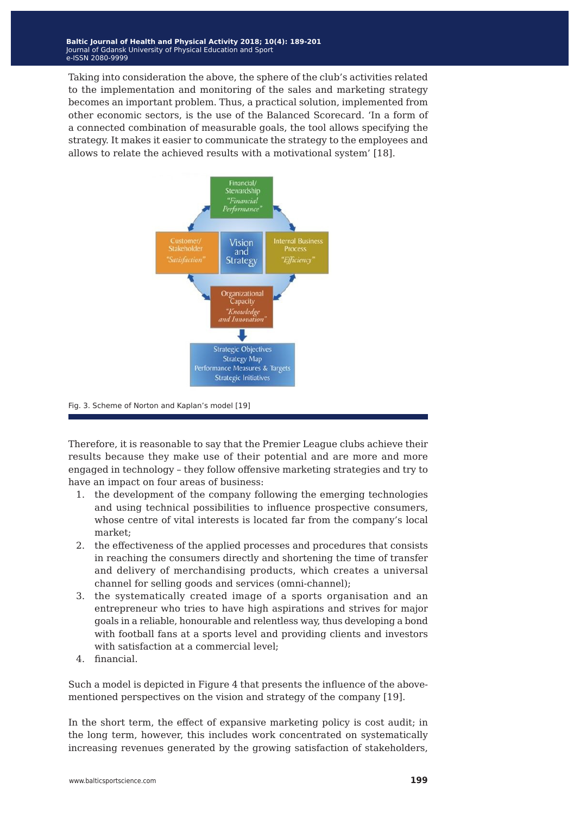Taking into consideration the above, the sphere of the club's activities related to the implementation and monitoring of the sales and marketing strategy becomes an important problem. Thus, a practical solution, implemented from other economic sectors, is the use of the Balanced Scorecard. 'In a form of a connected combination of measurable goals, the tool allows specifying the strategy. It makes it easier to communicate the strategy to the employees and allows to relate the achieved results with a motivational system' [18].



Fig. 3. Scheme of Norton and Kaplan's model [19]

Therefore, it is reasonable to say that the Premier League clubs achieve their results because they make use of their potential and are more and more engaged in technology – they follow offensive marketing strategies and try to have an impact on four areas of business:

- 1. the development of the company following the emerging technologies and using technical possibilities to influence prospective consumers, whose centre of vital interests is located far from the company's local market;
- 2. the effectiveness of the applied processes and procedures that consists in reaching the consumers directly and shortening the time of transfer and delivery of merchandising products, which creates a universal channel for selling goods and services (omni-channel);
- 3. the systematically created image of a sports organisation and an entrepreneur who tries to have high aspirations and strives for major goals in a reliable, honourable and relentless way, thus developing a bond with football fans at a sports level and providing clients and investors with satisfaction at a commercial level;
- 4. financial.

Such a model is depicted in Figure 4 that presents the influence of the abovementioned perspectives on the vision and strategy of the company [19].

In the short term, the effect of expansive marketing policy is cost audit; in the long term, however, this includes work concentrated on systematically increasing revenues generated by the growing satisfaction of stakeholders,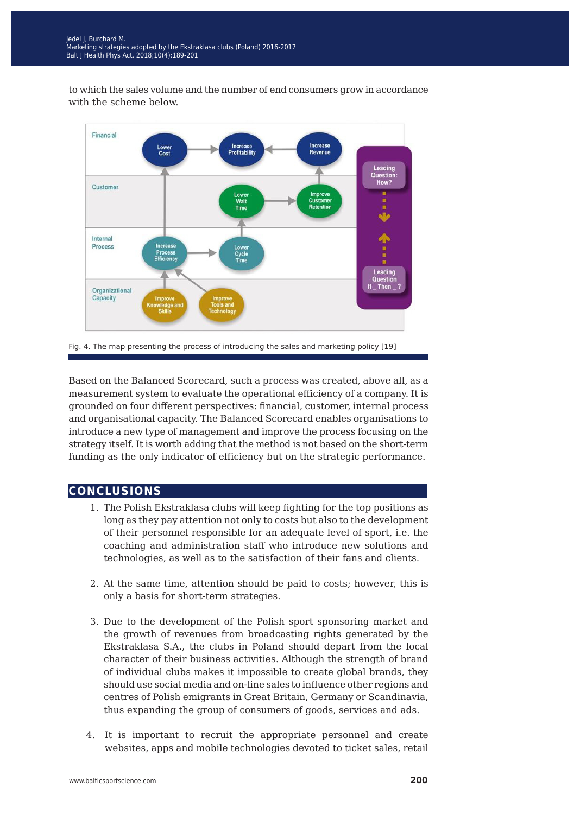to which the sales volume and the number of end consumers grow in accordance with the scheme below.



Fig. 4. The map presenting the process of introducing the sales and marketing policy [19]

Based on the Balanced Scorecard, such a process was created, above all, as a measurement system to evaluate the operational efficiency of a company. It is grounded on four different perspectives: financial, customer, internal process and organisational capacity. The Balanced Scorecard enables organisations to introduce a new type of management and improve the process focusing on the strategy itself. It is worth adding that the method is not based on the short-term funding as the only indicator of efficiency but on the strategic performance.

### **conclusions**

- 1. The Polish Ekstraklasa clubs will keep fighting for the top positions as long as they pay attention not only to costs but also to the development of their personnel responsible for an adequate level of sport, i.e. the coaching and administration staff who introduce new solutions and technologies, as well as to the satisfaction of their fans and clients.
- 2. At the same time, attention should be paid to costs; however, this is only a basis for short-term strategies.
- 3. Due to the development of the Polish sport sponsoring market and the growth of revenues from broadcasting rights generated by the Ekstraklasa S.A., the clubs in Poland should depart from the local character of their business activities. Although the strength of brand of individual clubs makes it impossible to create global brands, they should use social media and on-line sales to influence other regions and centres of Polish emigrants in Great Britain, Germany or Scandinavia, thus expanding the group of consumers of goods, services and ads.
- 4. It is important to recruit the appropriate personnel and create websites, apps and mobile technologies devoted to ticket sales, retail